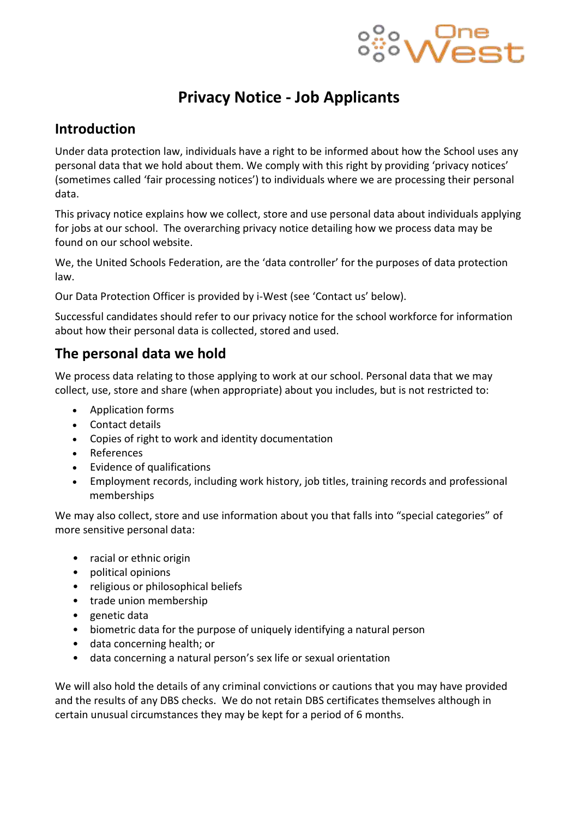

# **Privacy Notice - Job Applicants**

#### **Introduction**

Under data protection law, individuals have a right to be informed about how the School uses any personal data that we hold about them. We comply with this right by providing 'privacy notices' (sometimes called 'fair processing notices') to individuals where we are processing their personal data.

This privacy notice explains how we collect, store and use personal data about individuals applying for jobs at our school. The overarching privacy notice detailing how we process data may be found on our school website.

We, the United Schools Federation, are the 'data controller' for the purposes of data protection law.

Our Data Protection Officer is provided by i-West (see 'Contact us' below).

Successful candidates should refer to our privacy notice for the school workforce for information about how their personal data is collected, stored and used.

#### **The personal data we hold**

We process data relating to those applying to work at our school. Personal data that we may collect, use, store and share (when appropriate) about you includes, but is not restricted to:

- Application forms
- Contact details
- Copies of right to work and identity documentation
- References
- Evidence of qualifications
- Employment records, including work history, job titles, training records and professional memberships

We may also collect, store and use information about you that falls into "special categories" of more sensitive personal data:

- racial or ethnic origin
- political opinions
- religious or philosophical beliefs
- trade union membership
- genetic data
- biometric data for the purpose of uniquely identifying a natural person
- data concerning health; or
- data concerning a natural person's sex life or sexual orientation

We will also hold the details of any criminal convictions or cautions that you may have provided and the results of any DBS checks. We do not retain DBS certificates themselves although in certain unusual circumstances they may be kept for a period of 6 months.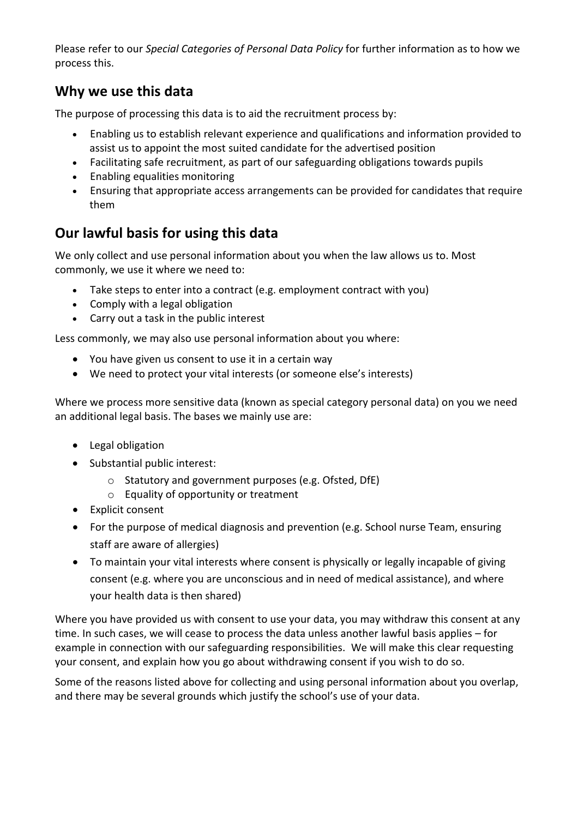Please refer to our *Special Categories of Personal Data Policy* for further information as to how we process this.

#### **Why we use this data**

The purpose of processing this data is to aid the recruitment process by:

- Enabling us to establish relevant experience and qualifications and information provided to assist us to appoint the most suited candidate for the advertised position
- Facilitating safe recruitment, as part of our safeguarding obligations towards pupils
- Enabling equalities monitoring
- Ensuring that appropriate access arrangements can be provided for candidates that require them

### **Our lawful basis for using this data**

We only collect and use personal information about you when the law allows us to. Most commonly, we use it where we need to:

- Take steps to enter into a contract (e.g. employment contract with you)
- Comply with a legal obligation
- Carry out a task in the public interest

Less commonly, we may also use personal information about you where:

- You have given us consent to use it in a certain way
- We need to protect your vital interests (or someone else's interests)

Where we process more sensitive data (known as special category personal data) on you we need an additional legal basis. The bases we mainly use are:

- Legal obligation
- Substantial public interest:
	- o Statutory and government purposes (e.g. Ofsted, DfE)
	- o Equality of opportunity or treatment
- Explicit consent
- For the purpose of medical diagnosis and prevention (e.g. School nurse Team, ensuring staff are aware of allergies)
- To maintain your vital interests where consent is physically or legally incapable of giving consent (e.g. where you are unconscious and in need of medical assistance), and where your health data is then shared)

Where you have provided us with consent to use your data, you may withdraw this consent at any time. In such cases, we will cease to process the data unless another lawful basis applies – for example in connection with our safeguarding responsibilities. We will make this clear requesting your consent, and explain how you go about withdrawing consent if you wish to do so.

Some of the reasons listed above for collecting and using personal information about you overlap, and there may be several grounds which justify the school's use of your data.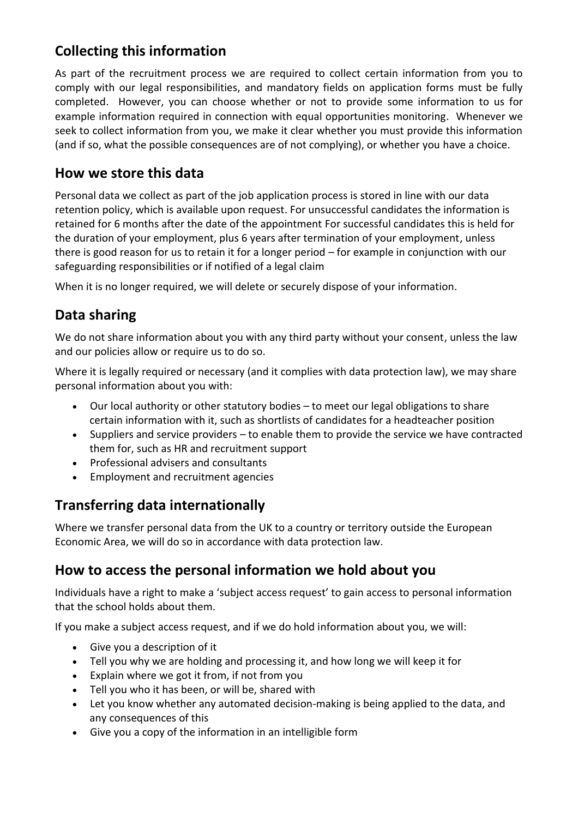### **Collecting this information**

As part of the recruitment process we are required to collect certain information from you to comply with our legal responsibilities, and mandatory fields on application forms must be fully completed. However, you can choose whether or not to provide some information to us for example information required in connection with equal opportunities monitoring. Whenever we seek to collect information from you, we make it clear whether you must provide this information (and if so, what the possible consequences are of not complying), or whether you have a choice.

#### **How we store this data**

Personal data we collect as part of the job application process is stored in line with our data retention policy, which is available upon request. For unsuccessful candidates the information is retained for 6 months after the date of the appointment For successful candidates this is held for the duration of your employment, plus 6 years after termination of your employment, unless there is good reason for us to retain it for a longer period – for example in conjunction with our safeguarding responsibilities or if notified of a legal claim

When it is no longer required, we will delete or securely dispose of your information.

#### **Data sharing**

We do not share information about you with any third party without your consent, unless the law and our policies allow or require us to do so.

Where it is legally required or necessary (and it complies with data protection law), we may share personal information about you with:

- Our local authority or other statutory bodies to meet our legal obligations to share certain information with it, such as shortlists of candidates for a headteacher position
- Suppliers and service providers to enable them to provide the service we have contracted them for, such as HR and recruitment support
- Professional advisers and consultants
- Employment and recruitment agencies

### **Transferring data internationally**

Where we transfer personal data from the UK to a country or territory outside the European Economic Area, we will do so in accordance with data protection law.

#### **How to access the personal information we hold about you**

Individuals have a right to make a 'subject access request' to gain access to personal information that the school holds about them.

If you make a subject access request, and if we do hold information about you, we will:

- Give you a description of it
- Tell you why we are holding and processing it, and how long we will keep it for
- Explain where we got it from, if not from you
- Tell you who it has been, or will be, shared with
- Let you know whether any automated decision-making is being applied to the data, and any consequences of this
- Give you a copy of the information in an intelligible form